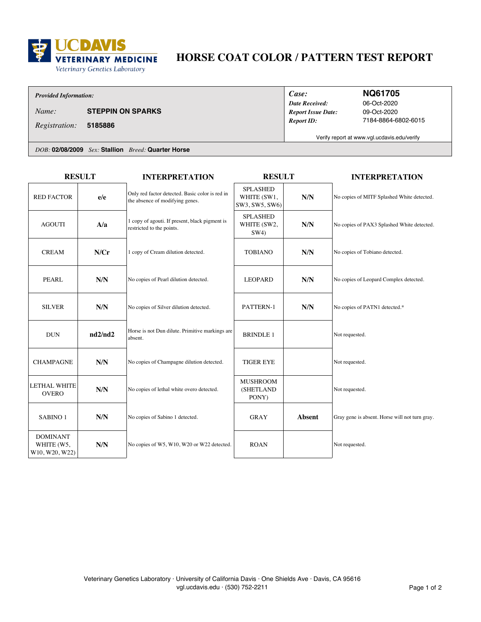

# **HORSE COAT COLOR / PATTERN TEST REPORT**

### *Provided Information:*

*Name:* **STEPPIN ON SPARKS**

**5185886** *Registration:*

*Date Received: Case: Report ID: Report Issue Date:*

### **NQ61705**

09-Oct-2020 7184-8864-6802-6015 06-Oct-2020

Verify report at www.vgl.ucdavis.edu/verify

*DOB:* **02/08/2009** *Sex:* **Stallion** *Breed:* **Quarter Horse**

| <b>RESULT</b>                                   |         | <b>INTERPRETATION</b>                                                              | <b>RESULT</b>                                    |               | <b>INTERPRETATION</b>                          |
|-------------------------------------------------|---------|------------------------------------------------------------------------------------|--------------------------------------------------|---------------|------------------------------------------------|
| <b>RED FACTOR</b>                               | e/e     | Only red factor detected. Basic color is red in<br>the absence of modifying genes. | <b>SPLASHED</b><br>WHITE (SW1,<br>SW3, SW5, SW6) | N/N           | No copies of MITF Splashed White detected.     |
| <b>AGOUTI</b>                                   | A/a     | 1 copy of agouti. If present, black pigment is<br>restricted to the points.        | <b>SPLASHED</b><br>WHITE (SW2,<br>SW4)           | N/N           | No copies of PAX3 Splashed White detected.     |
| <b>CREAM</b>                                    | N/Cr    | 1 copy of Cream dilution detected.                                                 | <b>TOBIANO</b>                                   | N/N           | No copies of Tobiano detected.                 |
| <b>PEARL</b>                                    | N/N     | No copies of Pearl dilution detected.                                              | <b>LEOPARD</b>                                   | N/N           | No copies of Leopard Complex detected.         |
| <b>SILVER</b>                                   | N/N     | No copies of Silver dilution detected.                                             | PATTERN-1                                        | N/N           | No copies of PATN1 detected.*                  |
| <b>DUN</b>                                      | nd2/nd2 | Horse is not Dun dilute. Primitive markings are<br>absent.                         | <b>BRINDLE 1</b>                                 |               | Not requested.                                 |
| <b>CHAMPAGNE</b>                                | N/N     | No copies of Champagne dilution detected.                                          | <b>TIGER EYE</b>                                 |               | Not requested.                                 |
| <b>LETHAL WHITE</b><br><b>OVERO</b>             | N/N     | No copies of lethal white overo detected.                                          | <b>MUSHROOM</b><br>(SHETLAND<br>PONY)            |               | Not requested.                                 |
| SABINO <sub>1</sub>                             | N/N     | No copies of Sabino 1 detected.                                                    | <b>GRAY</b>                                      | <b>Absent</b> | Gray gene is absent. Horse will not turn gray. |
| <b>DOMINANT</b><br>WHITE (W5,<br>W10, W20, W22) | N/N     | No copies of W5, W10, W20 or W22 detected.                                         | <b>ROAN</b>                                      |               | Not requested.                                 |